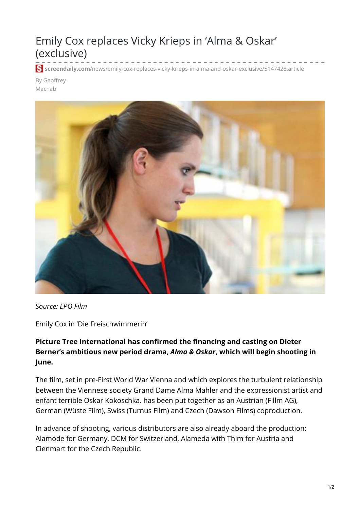## Emily Cox replaces Vicky Krieps in 'Alma & Oskar' (exclusive)

**screendaily.com**[/news/emily-cox-replaces-vicky-krieps-in-alma-and-oskar-exclusive/5147428.article](https://www.screendaily.com/news/emily-cox-replaces-vicky-krieps-in-alma-and-oskar-exclusive/5147428.article)

By Geoffrey Macnab



*Source: EPO Film*

Emily Cox in 'Die Freischwimmerin'

## **Picture Tree International has confirmed the financing and casting on Dieter Berner's ambitious new period drama,** *Alma & Oskar***, which will begin shooting in June.**

The film, set in pre-First World War Vienna and which explores the turbulent relationship between the Viennese society Grand Dame Alma Mahler and the expressionist artist and enfant terrible Oskar Kokoschka. has been put together as an Austrian (Fillm AG), German (Wüste Film), Swiss (Turnus Film) and Czech (Dawson Films) coproduction.

In advance of shooting, various distributors are also already aboard the production: Alamode for Germany, DCM for Switzerland, Alameda with Thim for Austria and Cienmart for the Czech Republic.